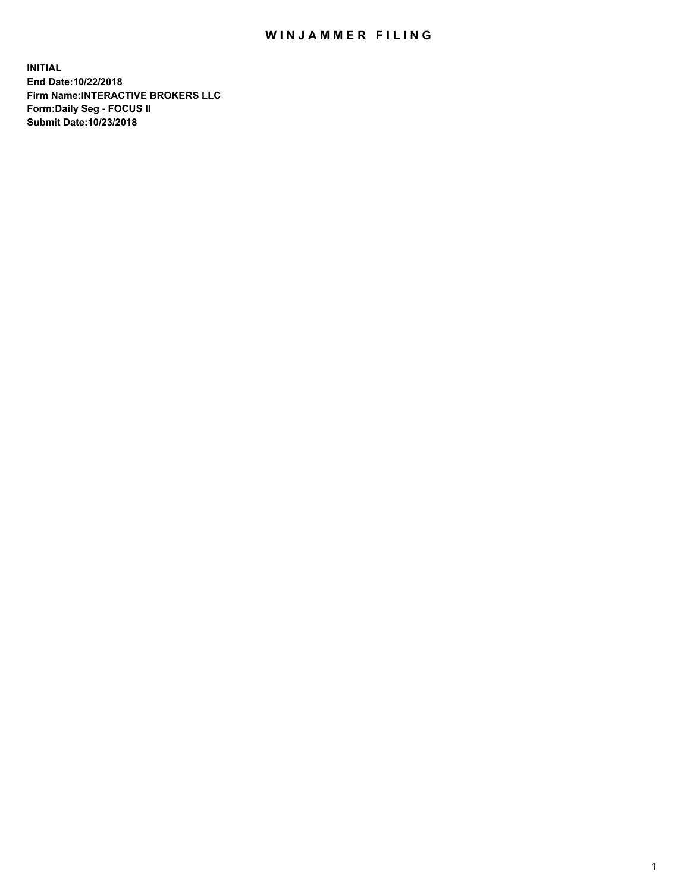## WIN JAMMER FILING

**INITIAL End Date:10/22/2018 Firm Name:INTERACTIVE BROKERS LLC Form:Daily Seg - FOCUS II Submit Date:10/23/2018**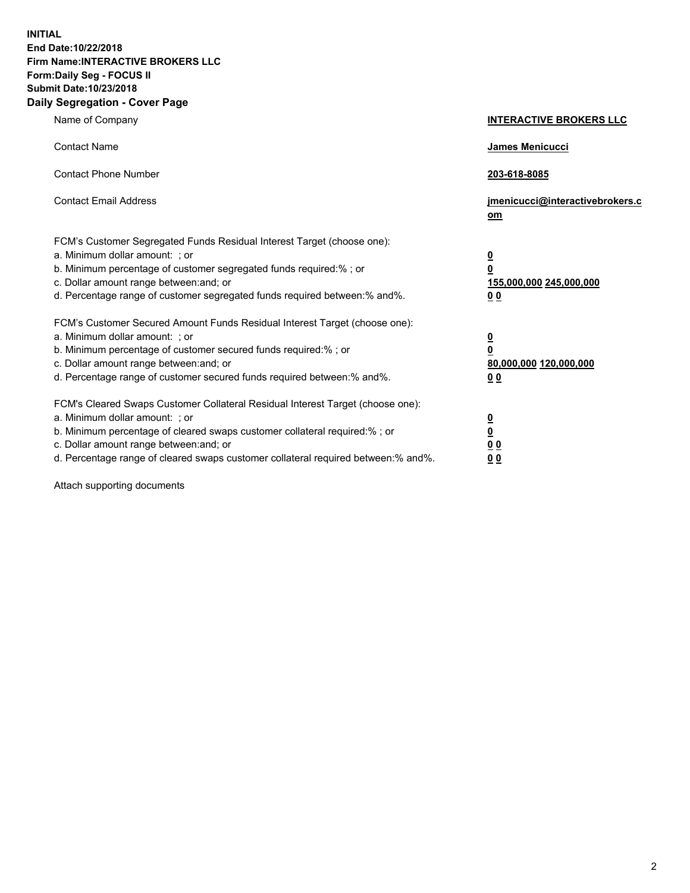**INITIAL End Date:10/22/2018 Firm Name:INTERACTIVE BROKERS LLC Form:Daily Seg - FOCUS II Submit Date:10/23/2018 Daily Segregation - Cover Page**

| Name of Company                                                                                                                                                                                                                                                                                                                | <b>INTERACTIVE BROKERS LLC</b>                                                                  |
|--------------------------------------------------------------------------------------------------------------------------------------------------------------------------------------------------------------------------------------------------------------------------------------------------------------------------------|-------------------------------------------------------------------------------------------------|
| <b>Contact Name</b>                                                                                                                                                                                                                                                                                                            | James Menicucci                                                                                 |
| <b>Contact Phone Number</b>                                                                                                                                                                                                                                                                                                    | 203-618-8085                                                                                    |
| <b>Contact Email Address</b>                                                                                                                                                                                                                                                                                                   | jmenicucci@interactivebrokers.c<br>om                                                           |
| FCM's Customer Segregated Funds Residual Interest Target (choose one):<br>a. Minimum dollar amount: ; or<br>b. Minimum percentage of customer segregated funds required:%; or<br>c. Dollar amount range between: and; or<br>d. Percentage range of customer segregated funds required between:% and%.                          | $\overline{\mathbf{0}}$<br>$\overline{\mathbf{0}}$<br>155,000,000 245,000,000<br>0 <sub>0</sub> |
| FCM's Customer Secured Amount Funds Residual Interest Target (choose one):<br>a. Minimum dollar amount: ; or<br>b. Minimum percentage of customer secured funds required:% ; or<br>c. Dollar amount range between: and; or<br>d. Percentage range of customer secured funds required between:% and%.                           | $\overline{\mathbf{0}}$<br>$\overline{\mathbf{0}}$<br>80,000,000 120,000,000<br>0 <sub>0</sub>  |
| FCM's Cleared Swaps Customer Collateral Residual Interest Target (choose one):<br>a. Minimum dollar amount: ; or<br>b. Minimum percentage of cleared swaps customer collateral required:% ; or<br>c. Dollar amount range between: and; or<br>d. Percentage range of cleared swaps customer collateral required between:% and%. | $\overline{\mathbf{0}}$<br>$\underline{\mathbf{0}}$<br>0 <sub>0</sub><br>0 <sub>0</sub>         |

Attach supporting documents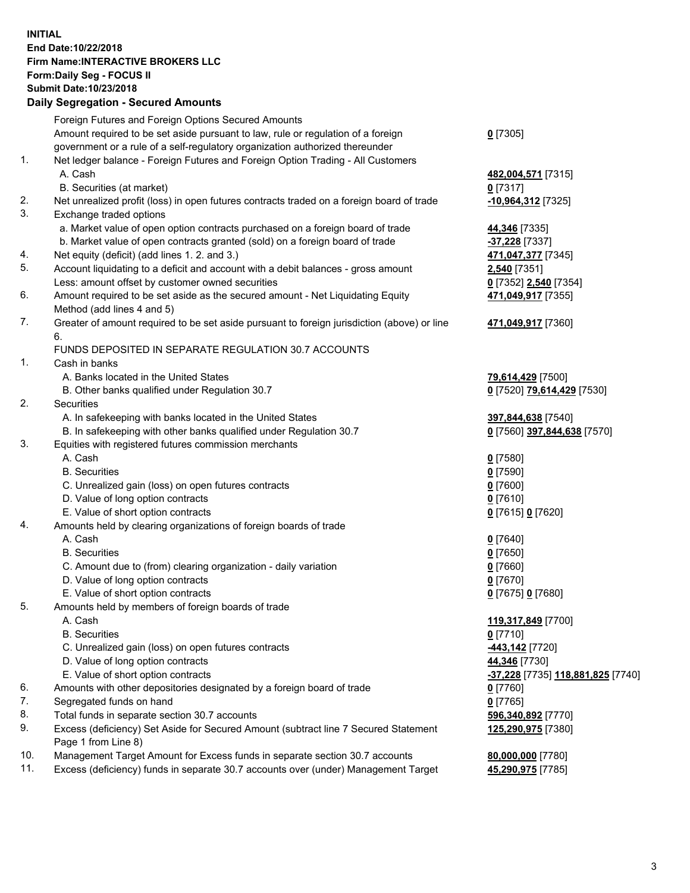## **INITIAL End Date:10/22/2018 Firm Name:INTERACTIVE BROKERS LLC Form:Daily Seg - FOCUS II Submit Date:10/23/2018 Daily Segregation - Secured Amounts**

|     | Daily Segregation - Secured Amounts                                                                  |                                                 |
|-----|------------------------------------------------------------------------------------------------------|-------------------------------------------------|
|     | Foreign Futures and Foreign Options Secured Amounts                                                  |                                                 |
|     | Amount required to be set aside pursuant to law, rule or regulation of a foreign                     | $0$ [7305]                                      |
|     | government or a rule of a self-regulatory organization authorized thereunder                         |                                                 |
| 1.  | Net ledger balance - Foreign Futures and Foreign Option Trading - All Customers                      |                                                 |
|     | A. Cash                                                                                              | 482,004,571 [7315]                              |
|     | B. Securities (at market)                                                                            | $0$ [7317]                                      |
| 2.  | Net unrealized profit (loss) in open futures contracts traded on a foreign board of trade            | -10,964,312 [7325]                              |
| 3.  | Exchange traded options                                                                              |                                                 |
|     | a. Market value of open option contracts purchased on a foreign board of trade                       | 44,346 [7335]                                   |
|     | b. Market value of open contracts granted (sold) on a foreign board of trade                         | -37,228 [7337]                                  |
| 4.  | Net equity (deficit) (add lines 1. 2. and 3.)                                                        | 471,047,377 [7345]                              |
| 5.  | Account liquidating to a deficit and account with a debit balances - gross amount                    | 2,540 [7351]                                    |
|     | Less: amount offset by customer owned securities                                                     | 0 [7352] 2,540 [7354]                           |
| 6.  | Amount required to be set aside as the secured amount - Net Liquidating Equity                       | 471,049,917 [7355]                              |
|     | Method (add lines 4 and 5)                                                                           |                                                 |
| 7.  | Greater of amount required to be set aside pursuant to foreign jurisdiction (above) or line          | 471,049,917 [7360]                              |
|     | 6.                                                                                                   |                                                 |
|     | FUNDS DEPOSITED IN SEPARATE REGULATION 30.7 ACCOUNTS                                                 |                                                 |
| 1.  | Cash in banks                                                                                        |                                                 |
|     | A. Banks located in the United States                                                                | 79,614,429 [7500]                               |
|     | B. Other banks qualified under Regulation 30.7                                                       | 0 [7520] 79,614,429 [7530]                      |
| 2.  | <b>Securities</b>                                                                                    |                                                 |
|     | A. In safekeeping with banks located in the United States                                            | 397,844,638 [7540]                              |
|     | B. In safekeeping with other banks qualified under Regulation 30.7                                   | 0 [7560] 397,844,638 [7570]                     |
| 3.  | Equities with registered futures commission merchants                                                |                                                 |
|     | A. Cash                                                                                              | $0$ [7580]                                      |
|     | <b>B.</b> Securities                                                                                 | $0$ [7590]                                      |
|     | C. Unrealized gain (loss) on open futures contracts                                                  | $0$ [7600]                                      |
|     | D. Value of long option contracts                                                                    | $0$ [7610]                                      |
|     | E. Value of short option contracts                                                                   | 0 [7615] 0 [7620]                               |
| 4.  | Amounts held by clearing organizations of foreign boards of trade<br>A. Cash                         |                                                 |
|     | <b>B.</b> Securities                                                                                 | $0$ [7640]                                      |
|     |                                                                                                      | $0$ [7650]                                      |
|     | C. Amount due to (from) clearing organization - daily variation<br>D. Value of long option contracts | $0$ [7660]<br>$0$ [7670]                        |
|     | E. Value of short option contracts                                                                   | 0 [7675] 0 [7680]                               |
| 5.  | Amounts held by members of foreign boards of trade                                                   |                                                 |
|     | A. Cash                                                                                              | 119,317,849 [7700]                              |
|     | <b>B.</b> Securities                                                                                 | $0$ [7710]                                      |
|     | C. Unrealized gain (loss) on open futures contracts                                                  | -443,142 <sup>[7720]</sup>                      |
|     | D. Value of long option contracts                                                                    | 44,346 [7730]                                   |
|     | E. Value of short option contracts                                                                   | <u>-37,228</u> [7735] <u>118,881,825</u> [7740] |
| 6.  | Amounts with other depositories designated by a foreign board of trade                               | $0$ [7760]                                      |
| 7.  | Segregated funds on hand                                                                             | $0$ [7765]                                      |
| 8.  | Total funds in separate section 30.7 accounts                                                        | 596,340,892 [7770]                              |
| 9.  | Excess (deficiency) Set Aside for Secured Amount (subtract line 7 Secured Statement                  | 125,290,975 [7380]                              |
|     | Page 1 from Line 8)                                                                                  |                                                 |
| 10. | Management Target Amount for Excess funds in separate section 30.7 accounts                          | 80,000,000 [7780]                               |
| 11. | Excess (deficiency) funds in separate 30.7 accounts over (under) Management Target                   | 45,290,975 [7785]                               |
|     |                                                                                                      |                                                 |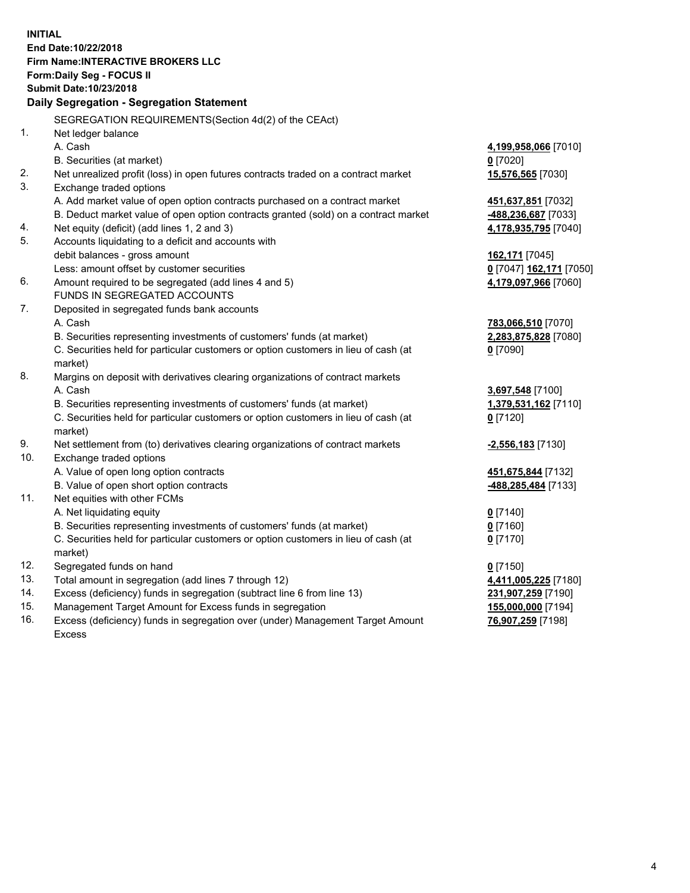**INITIAL End Date:10/22/2018 Firm Name:INTERACTIVE BROKERS LLC Form:Daily Seg - FOCUS II Submit Date:10/23/2018 Daily Segregation - Segregation Statement** SEGREGATION REQUIREMENTS(Section 4d(2) of the CEAct) 1. Net ledger balance A. Cash **4,199,958,066** [7010] B. Securities (at market) **0** [7020] 2. Net unrealized profit (loss) in open futures contracts traded on a contract market **15,576,565** [7030] 3. Exchange traded options A. Add market value of open option contracts purchased on a contract market **451,637,851** [7032] B. Deduct market value of open option contracts granted (sold) on a contract market **-488,236,687** [7033] 4. Net equity (deficit) (add lines 1, 2 and 3) **4,178,935,795** [7040] 5. Accounts liquidating to a deficit and accounts with debit balances - gross amount **162,171** [7045] Less: amount offset by customer securities **0** [7047] **162,171** [7050] 6. Amount required to be segregated (add lines 4 and 5) **4,179,097,966** [7060] FUNDS IN SEGREGATED ACCOUNTS 7. Deposited in segregated funds bank accounts A. Cash **783,066,510** [7070] B. Securities representing investments of customers' funds (at market) **2,283,875,828** [7080] C. Securities held for particular customers or option customers in lieu of cash (at market) **0** [7090] 8. Margins on deposit with derivatives clearing organizations of contract markets A. Cash **3,697,548** [7100] B. Securities representing investments of customers' funds (at market) **1,379,531,162** [7110] C. Securities held for particular customers or option customers in lieu of cash (at market) **0** [7120] 9. Net settlement from (to) derivatives clearing organizations of contract markets **-2,556,183** [7130] 10. Exchange traded options A. Value of open long option contracts **451,675,844** [7132] B. Value of open short option contracts **-488,285,484** [7133] 11. Net equities with other FCMs A. Net liquidating equity **0** [7140] B. Securities representing investments of customers' funds (at market) **0** [7160] C. Securities held for particular customers or option customers in lieu of cash (at market) **0** [7170] 12. Segregated funds on hand **0** [7150] 13. Total amount in segregation (add lines 7 through 12) **4,411,005,225** [7180] 14. Excess (deficiency) funds in segregation (subtract line 6 from line 13) **231,907,259** [7190] 15. Management Target Amount for Excess funds in segregation **155,000,000** [7194]

16. Excess (deficiency) funds in segregation over (under) Management Target Amount Excess

**76,907,259** [7198]